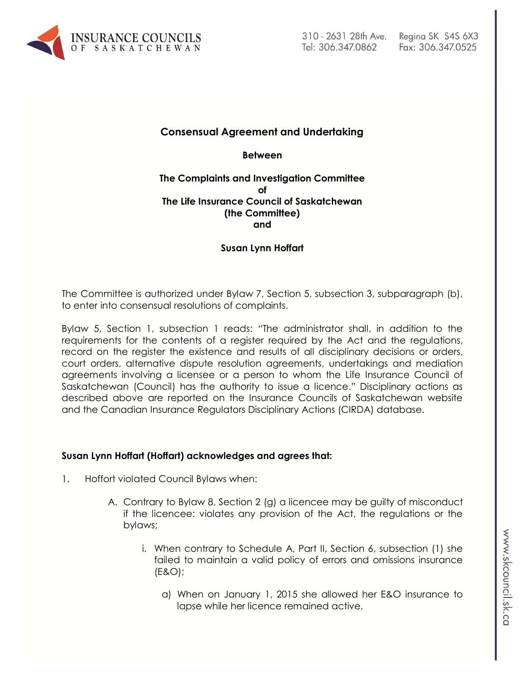

# **Consensual Agreement and Undertaking**

**Between**

### **The Complaints and Investigation Committee of The Life Insurance Council of Saskatchewan (the Committee) and**

# **Susan Lynn Hoffart**

The Committee is authorized under Bylaw 7, Section 5, subsection 3, subparagraph (b), to enter into consensual resolutions of complaints.

Bylaw 5, Section 1, subsection 1 reads: "The administrator shall, in addition to the requirements for the contents of a register required by the Act and the regulations, record on the register the existence and results of all disciplinary decisions or orders, court orders, alternative dispute resolution agreements, undertakings and mediation agreements involving a licensee or a person to whom the Life Insurance Council of Saskatchewan (Council) has the authority to issue a licence." Disciplinary actions as described above are reported on the Insurance Councils of Saskatchewan website and the Canadian Insurance Regulators Disciplinary Actions (CIRDA) database.

### **Susan Lynn Hoffart (Hoffart) acknowledges and agrees that:**

- 1. Hoffort violated Council Bylaws when:
	- A. Contrary to Bylaw 8, Section 2 (g) a licencee may be guilty of misconduct if the licencee: violates any provision of the Act, the regulations or the bylaws;
		- i. When contrary to Schedule A, Part II, Section 6, subsection (1) she failed to maintain a valid policy of errors and omissions insurance (E&O);
			- a) When on January 1, 2015 she allowed her E&O insurance to lapse while her licence remained active,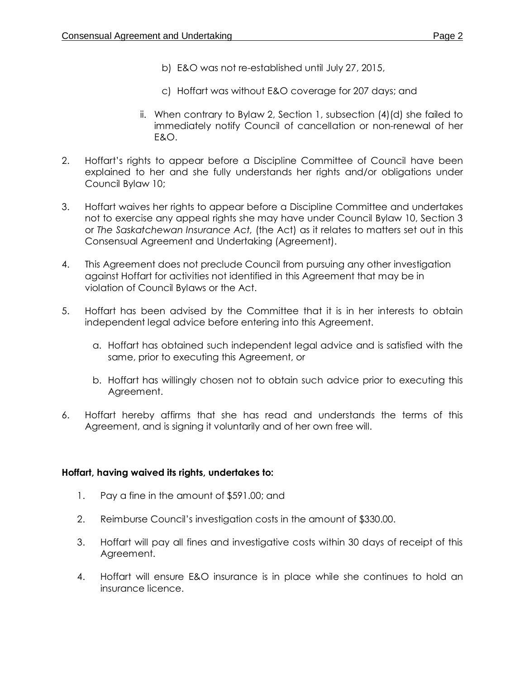- b) E&O was not re-established until July 27, 2015,
- c) Hoffart was without E&O coverage for 207 days; and
- ii. When contrary to Bylaw 2, Section 1, subsection (4)(d) she failed to immediately notify Council of cancellation or non-renewal of her E&O.
- 2. Hoffart's rights to appear before a Discipline Committee of Council have been explained to her and she fully understands her rights and/or obligations under Council Bylaw 10;
- 3. Hoffart waives her rights to appear before a Discipline Committee and undertakes not to exercise any appeal rights she may have under Council Bylaw 10, Section 3 or *The Saskatchewan Insurance Act,* (the Act) as it relates to matters set out in this Consensual Agreement and Undertaking (Agreement).
- 4. This Agreement does not preclude Council from pursuing any other investigation against Hoffart for activities not identified in this Agreement that may be in violation of Council Bylaws or the Act.
- 5. Hoffart has been advised by the Committee that it is in her interests to obtain independent legal advice before entering into this Agreement.
	- a. Hoffart has obtained such independent legal advice and is satisfied with the same, prior to executing this Agreement, or
	- b. Hoffart has willingly chosen not to obtain such advice prior to executing this Agreement.
- 6. Hoffart hereby affirms that she has read and understands the terms of this Agreement, and is signing it voluntarily and of her own free will.

### **Hoffart, having waived its rights, undertakes to:**

- 1. Pay a fine in the amount of \$591.00; and
- 2. Reimburse Council's investigation costs in the amount of \$330.00.
- 3. Hoffart will pay all fines and investigative costs within 30 days of receipt of this Agreement.
- 4. Hoffart will ensure E&O insurance is in place while she continues to hold an insurance licence.